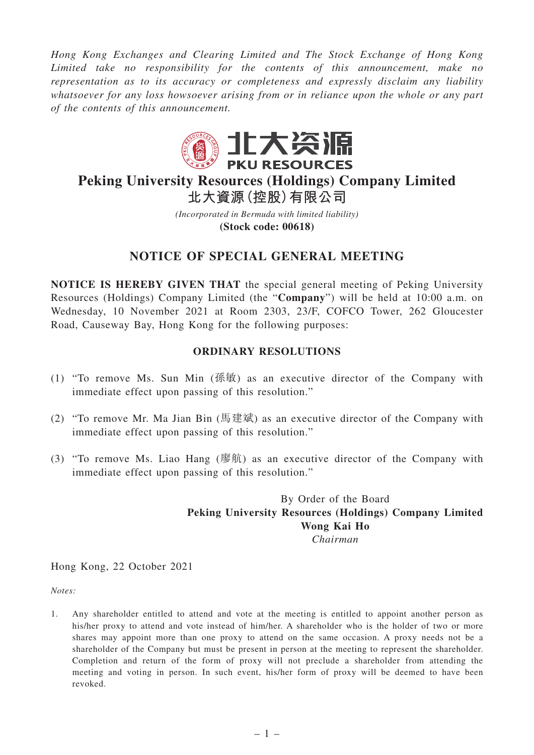*Hong Kong Exchanges and Clearing Limited and The Stock Exchange of Hong Kong Limited take no responsibility for the contents of this announcement, make no representation as to its accuracy or completeness and expressly disclaim any liability whatsoever for any loss howsoever arising from or in reliance upon the whole or any part of the contents of this announcement.*



## **Peking University Resources (Holdings) Company Limited 北大資源(控股)有限公司**

*(Incorporated in Bermuda with limited liability)* **(Stock code: 00618)**

## **NOTICE OF SPECIAL GENERAL MEETING**

**NOTICE IS HEREBY GIVEN THAT** the special general meeting of Peking University Resources (Holdings) Company Limited (the "**Company**") will be held at 10:00 a.m. on Wednesday, 10 November 2021 at Room 2303, 23/F, COFCO Tower, 262 Gloucester Road, Causeway Bay, Hong Kong for the following purposes:

## **ORDINARY RESOLUTIONS**

- (1) "To remove Ms. Sun Min (孫敏) as an executive director of the Company with immediate effect upon passing of this resolution."
- (2) "To remove Mr. Ma Jian Bin (馬建斌) as an executive director of the Company with immediate effect upon passing of this resolution."
- (3) "To remove Ms. Liao Hang (廖航) as an executive director of the Company with immediate effect upon passing of this resolution."

By Order of the Board **Peking University Resources (Holdings) Company Limited Wong Kai Ho** *Chairman*

## Hong Kong, 22 October 2021

*Notes:*

1. Any shareholder entitled to attend and vote at the meeting is entitled to appoint another person as his/her proxy to attend and vote instead of him/her. A shareholder who is the holder of two or more shares may appoint more than one proxy to attend on the same occasion. A proxy needs not be a shareholder of the Company but must be present in person at the meeting to represent the shareholder. Completion and return of the form of proxy will not preclude a shareholder from attending the meeting and voting in person. In such event, his/her form of proxy will be deemed to have been revoked.